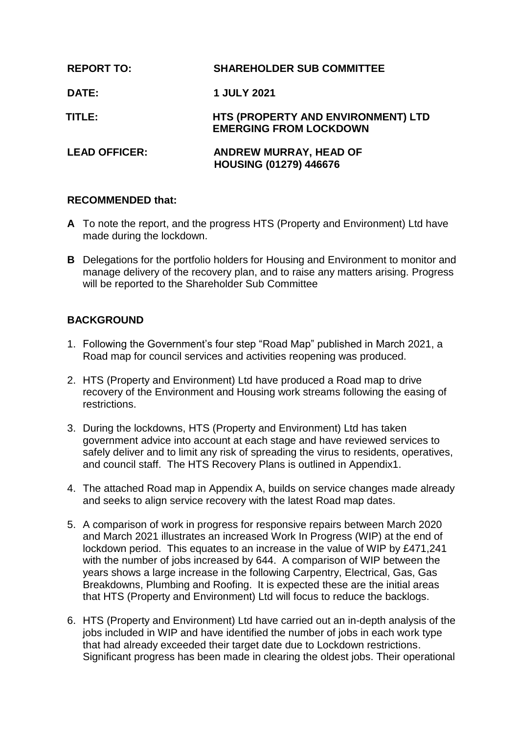| <b>REPORT TO:</b>    | <b>SHAREHOLDER SUB COMMITTEE</b>                                           |
|----------------------|----------------------------------------------------------------------------|
| <b>DATE:</b>         | <b>1 JULY 2021</b>                                                         |
| TITLE:               | <b>HTS (PROPERTY AND ENVIRONMENT) LTD</b><br><b>EMERGING FROM LOCKDOWN</b> |
| <b>LEAD OFFICER:</b> | <b>ANDREW MURRAY, HEAD OF</b><br><b>HOUSING (01279) 446676</b>             |

## **RECOMMENDED that:**

- **A** To note the report, and the progress HTS (Property and Environment) Ltd have made during the lockdown.
- **B** Delegations for the portfolio holders for Housing and Environment to monitor and manage delivery of the recovery plan, and to raise any matters arising. Progress will be reported to the Shareholder Sub Committee

## **BACKGROUND**

- 1. Following the Government's four step "Road Map" published in March 2021, a Road map for council services and activities reopening was produced.
- 2. HTS (Property and Environment) Ltd have produced a Road map to drive recovery of the Environment and Housing work streams following the easing of restrictions.
- 3. During the lockdowns, HTS (Property and Environment) Ltd has taken government advice into account at each stage and have reviewed services to safely deliver and to limit any risk of spreading the virus to residents, operatives, and council staff. The HTS Recovery Plans is outlined in Appendix1.
- 4. The attached Road map in Appendix A, builds on service changes made already and seeks to align service recovery with the latest Road map dates.
- 5. A comparison of work in progress for responsive repairs between March 2020 and March 2021 illustrates an increased Work In Progress (WIP) at the end of lockdown period. This equates to an increase in the value of WIP by £471,241 with the number of jobs increased by 644. A comparison of WIP between the years shows a large increase in the following Carpentry, Electrical, Gas, Gas Breakdowns, Plumbing and Roofing. It is expected these are the initial areas that HTS (Property and Environment) Ltd will focus to reduce the backlogs.
- 6. HTS (Property and Environment) Ltd have carried out an in-depth analysis of the jobs included in WIP and have identified the number of jobs in each work type that had already exceeded their target date due to Lockdown restrictions. Significant progress has been made in clearing the oldest jobs. Their operational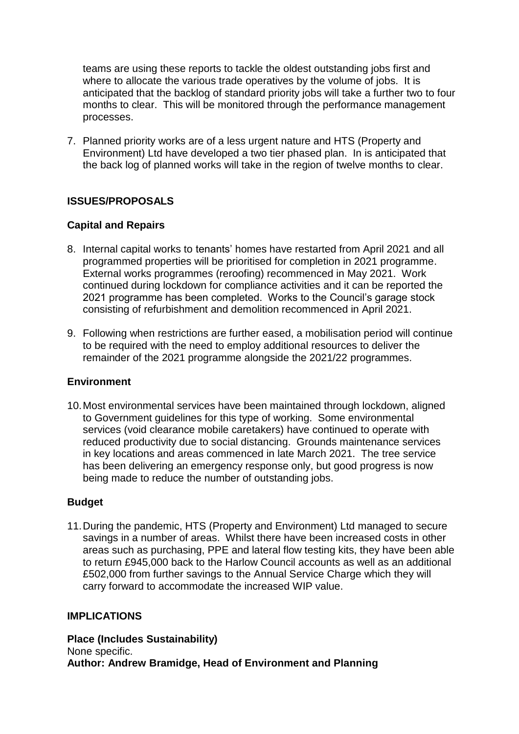teams are using these reports to tackle the oldest outstanding jobs first and where to allocate the various trade operatives by the volume of jobs. It is anticipated that the backlog of standard priority jobs will take a further two to four months to clear. This will be monitored through the performance management processes.

7. Planned priority works are of a less urgent nature and HTS (Property and Environment) Ltd have developed a two tier phased plan. In is anticipated that the back log of planned works will take in the region of twelve months to clear.

# **ISSUES/PROPOSALS**

# **Capital and Repairs**

- 8. Internal capital works to tenants' homes have restarted from April 2021 and all programmed properties will be prioritised for completion in 2021 programme. External works programmes (reroofing) recommenced in May 2021. Work continued during lockdown for compliance activities and it can be reported the 2021 programme has been completed. Works to the Council's garage stock consisting of refurbishment and demolition recommenced in April 2021.
- 9. Following when restrictions are further eased, a mobilisation period will continue to be required with the need to employ additional resources to deliver the remainder of the 2021 programme alongside the 2021/22 programmes.

# **Environment**

10.Most environmental services have been maintained through lockdown, aligned to Government guidelines for this type of working. Some environmental services (void clearance mobile caretakers) have continued to operate with reduced productivity due to social distancing. Grounds maintenance services in key locations and areas commenced in late March 2021. The tree service has been delivering an emergency response only, but good progress is now being made to reduce the number of outstanding jobs.

# **Budget**

11.During the pandemic, HTS (Property and Environment) Ltd managed to secure savings in a number of areas. Whilst there have been increased costs in other areas such as purchasing, PPE and lateral flow testing kits, they have been able to return £945,000 back to the Harlow Council accounts as well as an additional £502,000 from further savings to the Annual Service Charge which they will carry forward to accommodate the increased WIP value.

## **IMPLICATIONS**

**Place (Includes Sustainability)** None specific. **Author: Andrew Bramidge, Head of Environment and Planning**